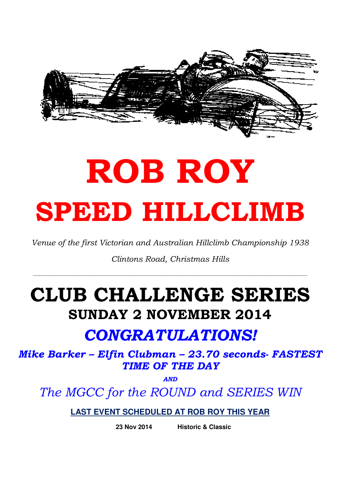

# ROB ROY SPEED HILLCLIMB

Venue of the first Victorian and Australian Hillclimb Championship 1938

Clintons Road, Christmas Hills

# CLUB CHALLENGE SERIES SUNDAY 2 NOVEMBER 2014

# CONGRATULATIONS!

Mike Barker – Elfin Clubman – 23.70 seconds- FASTEST TIME OF THE DAY

**AND** 

The MGCC for the ROUND and SERIES WIN

**LAST EVENT SCHEDULED AT ROB ROY THIS YEAR** 

 **23 Nov 2014 Historic & Classic**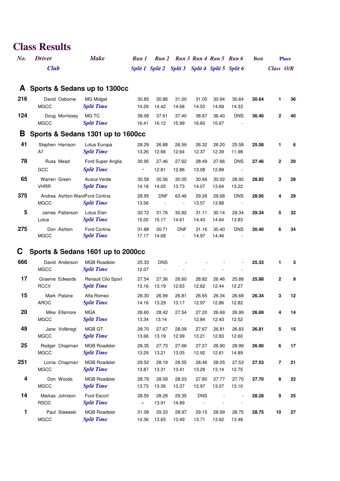## **Class Results**

| $N$ o. | <b>Driver</b> | <b>Make</b> | Run 1 Run 2 Run 3 Run 4 Run 5 Run 6             |  |  | <b>Best</b> | <b>Place</b> |
|--------|---------------|-------------|-------------------------------------------------|--|--|-------------|--------------|
|        | <b>Club</b>   |             | Split 1 Split 2 Split 3 Split 4 Split 5 Split 6 |  |  |             | Class $O/R$  |

### **A Sports & Sedans up to 1300cc**

| 216 | David Osborne<br>MGCC  | MG Midaet<br><b>Split Time</b> | 30.85<br>14.29 | 30.86<br>14.42 | 31.00<br>14.68 | 31.05<br>14.53 | 30.94<br>14.69 | 30.64<br>14.33                         | 30.64 |              | 36 |
|-----|------------------------|--------------------------------|----------------|----------------|----------------|----------------|----------------|----------------------------------------|-------|--------------|----|
| 124 | Doug Morrissey<br>MGCC | MG TC<br><b>Split Time</b>     | 38.08<br>16.41 | 37.61<br>16.12 | 37.40<br>15.99 | 38.87<br>16.60 | 36.40<br>15.67 | <b>DNS</b><br>$\overline{\phantom{a}}$ | 36.40 | $\mathbf{2}$ | 40 |

### **B Sports & Sedans 1301 up to 1600cc**

| 41              | Stephen Harrison<br>A7                        | Lotus Europa<br><b>Split Time</b>      | 28.29<br>13.26 | 26.88<br>12.66 | 26.59<br>12.64                         | 26.32<br>12.37 | 26.20<br>12.39 | 25.58<br>11.98 | 25.58 | 1            | 6  |
|-----------------|-----------------------------------------------|----------------------------------------|----------------|----------------|----------------------------------------|----------------|----------------|----------------|-------|--------------|----|
| 78              | Russ Mead<br>GCC                              | Ford Super Anglia<br><b>Split Time</b> | 30.95<br>-     | 27.46<br>12.81 | 27.62<br>12.86                         | 28.49<br>13.08 | 27.66<br>12.89 | <b>DNS</b>     | 27.46 | $\mathbf{2}$ | 20 |
| 65              | Warren Green<br><b>VHRR</b>                   | Ausca Verde<br><b>Split Time</b>       | 30.58<br>14.18 | 30.56<br>14.05 | 30.05<br>13.73                         | 30.66<br>14.07 | 30.02<br>13.64 | 28.92<br>13.22 | 28.92 | 3            | 28 |
| 375             | Andrea Ashton WardFord Cortina<br><b>MGCC</b> | <b>Split Time</b>                      | 28.95<br>13.56 | <b>DNF</b>     | 63.46<br>$\blacksquare$                | 29.26<br>13.57 | 29.68<br>13.88 | <b>DNS</b>     | 28.95 | 4            | 29 |
| $5\phantom{.0}$ | James Patterson<br>Lotus                      | Lotus Elan<br><b>Split Time</b>        | 32.72<br>15.00 | 31.76<br>15.17 | 30.82<br>14.61                         | 31.11<br>14.43 | 30.14<br>14.64 | 29.34<br>13.83 | 29.34 | 5            | 32 |
| 275             | Don Ashton<br><b>MGCC</b>                     | Ford Cortina<br><b>Split Time</b>      | 31.88<br>17.17 | 30.71<br>14.68 | <b>DNF</b><br>$\overline{\phantom{a}}$ | 31.16<br>14.97 | 30.40<br>14.46 | <b>DNS</b>     | 30.40 | 6            | 34 |

## **C Sports & Sedans 1601 up to 2000cc**

| 666 | David Anderson<br><b>MGCC</b> | <b>MGB Roadster</b><br><b>Split Time</b>       | 25.33<br>12.07 | <b>DNS</b>     |                |                |                |                | 25.33 | 1              | 3  |
|-----|-------------------------------|------------------------------------------------|----------------|----------------|----------------|----------------|----------------|----------------|-------|----------------|----|
| 17  | Graeme Edwards<br><b>RCCV</b> | <b>Renault Clio Sport</b><br><b>Split Time</b> | 27.54<br>13.16 | 27.36<br>13.19 | 26.60<br>12.63 | 28.82<br>12.62 | 26.46<br>12.44 | 25.88<br>12.27 | 25.88 | $\mathbf{2}$   | 9  |
| 15  | Mark Patane<br><b>AROC</b>    | Alfa Romeo<br><b>Split Time</b>                | 28.30<br>14.16 | 26.99<br>13.29 | 26.81<br>13.17 | 26.65<br>12.97 | 26.34<br>12.86 | 26.68<br>12.82 | 26.34 | 3              | 12 |
| 20  | Mike Ellsmore<br><b>MGCC</b>  | <b>MGA</b><br><b>Split Time</b>                | 28.60<br>13.34 | 28.42<br>13.14 | 27.54          | 27.20<br>12.84 | 26.69<br>12.43 | 26.99<br>12.52 | 26.69 | 4              | 14 |
| 49  | Jane Vollbregt<br><b>MGCC</b> | MGB GT<br><b>Split Time</b>                    | 28.70<br>13.66 | 27.67<br>13.19 | 28.09<br>12.99 | 27.67<br>13.21 | 26.81<br>12.83 | 26.83<br>12.60 | 26.81 | 5              | 15 |
| 25  | Rodger Chapman<br><b>MGCC</b> | <b>MGB Roadster</b><br><b>Split Time</b>       | 28.35<br>13.29 | 27.73<br>13.21 | 27.66<br>13.05 | 27.27<br>12.92 | 26.90<br>12.61 | 28.99<br>14.89 | 26.90 | 6              | 17 |
| 251 | Lorna Chapman<br><b>MGCC</b>  | <b>MGB Roadster</b><br><b>Split Time</b>       | 29.52<br>13.87 | 28.19<br>13.31 | 28.55<br>13.41 | 28.46<br>13.29 | 28.05<br>13.14 | 27.53<br>12.75 | 27.53 | $\overline{7}$ | 21 |
| 4   | Don Woods<br><b>MGCC</b>      | <b>MGB Roadster</b><br><b>Split Time</b>       | 28.79<br>13.73 | 28.09<br>13.36 | 28.03<br>13.37 | 27.80<br>12.97 | 27.77<br>13.07 | 27.70<br>13.10 | 27.70 | 8              | 22 |
| 14  | Markas Johnson<br><b>RSOC</b> | <b>Ford Escort</b><br><b>Split Time</b>        | 28.55<br>۰     | 28.28<br>13.91 | 29.35<br>14.89 | <b>DNS</b>     |                |                | 28.28 | 9              | 25 |
| 1   | Paul Slawaski<br><b>MGCC</b>  | <b>MGB Roadster</b><br><b>Split Time</b>       | 31.08<br>14.36 | 29.33<br>13.65 | 28.97<br>13.49 | 29.15<br>13.71 | 28.99<br>13.62 | 28.75<br>13.48 | 28.75 | 10             | 27 |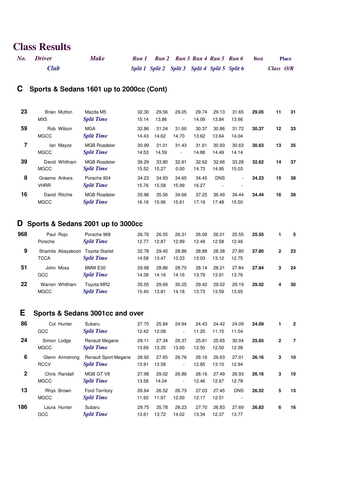# **Class Results**

| No. Driver  | <b>Make</b> |  | Run 1 Run 2 Run 3 Run 4 Run 5 Run 6             |  | Best | <b>Place</b> |
|-------------|-------------|--|-------------------------------------------------|--|------|--------------|
| <b>Club</b> |             |  | Split 1 Split 2 Split 3 Split 4 Split 5 Split 6 |  |      | Class $O/R$  |

### **C Sports & Sedans 1601 up to 2000cc (Cont)**

|    | MX <sub>5</sub>              | <b>Split Time</b>                        | 15.14          | 13.86          | $\sim$         | 14.09          | 13.84           | 13.66                         |       |    | 31 |
|----|------------------------------|------------------------------------------|----------------|----------------|----------------|----------------|-----------------|-------------------------------|-------|----|----|
| 59 | Rob Wilson<br><b>MGCC</b>    | <b>MGA</b><br><b>Split Time</b>          | 32.86<br>14.43 | 31.24<br>14.62 | 31.60<br>14.70 | 30.37<br>13.62 | 30.86<br>13.64  | 31.72<br>14.04                | 30.37 | 12 | 33 |
| 7  | lan Mayze<br><b>MGCC</b>     | <b>MGB Roadster</b><br><b>Split Time</b> | 30.99<br>14.53 | 31.01<br>14.59 | 31.43<br>٠.    | 31.61<br>14.88 | 30.93<br>14.49  | 30.63<br>14.14                | 30.63 | 13 | 35 |
| 39 | David Whitham<br><b>MGCC</b> | <b>MGB Roadster</b><br><b>Split Time</b> | 36.29<br>15.52 | 33.80<br>15.27 | 32.91<br>0.00  | 32.62<br>14.73 | 32.66<br>14.95  | 33.28<br>15.03                | 32.62 | 14 | 37 |
| 8  | Graeme Ankers<br><b>VHRR</b> | Porsche 924<br><b>Split Time</b>         | 34.23<br>15.76 | 34.93<br>15.58 | 34.65<br>15.99 | 34.45<br>16.27 | <b>DNS</b><br>۰ | $\overline{\phantom{a}}$<br>٠ | 34.23 | 15 | 38 |
| 16 | David Ritchie<br><b>MGCC</b> | <b>MGB Roadster</b><br><b>Split Time</b> | 35.96<br>16.18 | 35.56<br>15.96 | 34.66<br>15.61 | 37.25<br>17.19 | 36.49<br>17.48  | 34.44<br>15.50                | 34.44 | 16 | 39 |

### **D Sports & Sedans 2001 up to 3000cc**

| 968 | Paul Rojo<br>Porsche          | Porsche 968<br><b>Split Time</b>                      | 26.76<br>12.77 | 26.55<br>12.87 | 26.31<br>12.99 | 26.06<br>12.49 | 26.01<br>12.58 | 25.55<br>12.46 | 25.55 |   | 5  |
|-----|-------------------------------|-------------------------------------------------------|----------------|----------------|----------------|----------------|----------------|----------------|-------|---|----|
| 9   | <b>TCCA</b>                   | Shamila Abayakoon Toyota Starlet<br><b>Split Time</b> | 32.78<br>14.58 | 29.45<br>13.47 | 28.86<br>13.33 | 28.88<br>13.03 | 28.38<br>13.12 | 27.80<br>12.75 | 27.80 | 2 | 23 |
| 51  | John Moss<br>GCC              | BMW E30<br><b>Split Time</b>                          | 29.98<br>14.38 | 28.86<br>14.16 | 28.70<br>14.16 | 28.14<br>13.79 | 28.21<br>13.91 | 27.84<br>13.76 | 27.84 | 3 | 24 |
| 22  | Warren Whitham<br><b>MGCC</b> | Tovota MR2<br><b>Split Time</b>                       | 35.05<br>15.40 | 29.69<br>13.81 | 30.25<br>14.18 | 29.42<br>13.73 | 29.02<br>13.59 | 29.19<br>13.65 | 29.02 | 4 | 30 |

## **E Sports & Sedans 3001cc and over**

| 86           | GCC                        | Col Hunter      | Subaru<br><b>Split Time</b>                      | 27.70<br>12.42 | 25.84<br>12.08 | 24.94<br>٠.     | 24.43<br>11.20 | 24.42<br>11.15 | 24.09<br>11.04  | 24.09 | 1              | $\overline{2}$ |
|--------------|----------------------------|-----------------|--------------------------------------------------|----------------|----------------|-----------------|----------------|----------------|-----------------|-------|----------------|----------------|
| 24           | Simon Lodge<br><b>MGCC</b> |                 | <b>Renault Megane</b><br><b>Split Time</b>       | 29.11<br>13.69 | 27.34<br>13.35 | 26.37<br>13.00  | 25.81<br>12.50 | 25.65<br>12.50 | 30.04<br>12.38  | 25.65 | $\overline{2}$ | 7              |
| 6            | <b>RCCV</b>                | Glenn Armstrong | <b>Renault Sport Megane</b><br><b>Split Time</b> | 28.92<br>13.91 | 27.65<br>13.58 | 26.76<br>$\sim$ | 26.16<br>12.85 | 26.63<br>13.10 | 27.01<br>12.94  | 26.16 | 3              | 10             |
| $\mathbf{2}$ | <b>MGCC</b>                | Chris Randall   | MGB GT V8<br><b>Split Time</b>                   | 27.98<br>13.56 | 29.02<br>14.04 | 26.86<br>۰.     | 26.16<br>12.46 | 27.49<br>12.67 | 26.93<br>12.78  | 26.16 | 3              | 10             |
| 13           | Rhys Brown<br><b>MGCC</b>  |                 | <b>Ford Territory</b><br><b>Split Time</b>       | 26.64<br>11.92 | 26.52<br>11.97 | 26.73<br>12.00  | 27.03<br>12.17 | 27.45<br>12.51 | <b>DNS</b><br>۰ | 26.52 | 5              | 13             |
| 186          | Laura Hunter<br>GCC        |                 | Subaru<br><b>Split Time</b>                      | 29.75<br>13.61 | 35.78<br>13.72 | 28.23<br>14.02  | 27.70<br>13.34 | 26.83<br>12.37 | 27.69<br>13.77  | 26.83 | 6              | 16             |